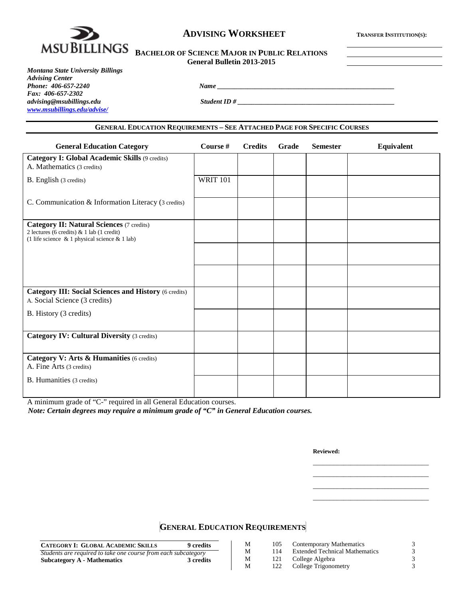

## **ADVISING WORKSHEET TRANSFER INSTITUTION(S):**

| BACHELOR OF SCIENCE MAJOR IN PUBLIC RELATIONS |
|-----------------------------------------------|
| General Bulletin 2013-2015                    |

*Montana State University Billings Advising Center Phone: 406-657-2240 Name \_\_\_\_\_\_\_\_\_\_\_\_\_\_\_\_\_\_\_\_\_\_\_\_\_\_\_\_\_\_\_\_\_\_\_\_\_\_\_\_\_\_\_\_\_\_\_\_\_\_\_\_ Fax: 406-657-2302 [www.msubillings.edu/advise/](http://www.msubillings.edu/advise/)*

*Student ID #* 

#### **GENERAL EDUCATION REQUIREMENTS – SEE ATTACHED PAGE FOR SPECIFIC COURSES**

| <b>General Education Category</b>                                                                                                                    | Course #        | <b>Credits</b> | Grade | <b>Semester</b> | Equivalent |
|------------------------------------------------------------------------------------------------------------------------------------------------------|-----------------|----------------|-------|-----------------|------------|
| <b>Category I: Global Academic Skills (9 credits)</b><br>A. Mathematics (3 credits)                                                                  |                 |                |       |                 |            |
| B. English (3 credits)                                                                                                                               | <b>WRIT 101</b> |                |       |                 |            |
| C. Communication & Information Literacy (3 credits)                                                                                                  |                 |                |       |                 |            |
| <b>Category II: Natural Sciences (7 credits)</b><br>2 lectures (6 credits) & 1 lab (1 credit)<br>(1 life science $\&$ 1 physical science $\&$ 1 lab) |                 |                |       |                 |            |
|                                                                                                                                                      |                 |                |       |                 |            |
|                                                                                                                                                      |                 |                |       |                 |            |
| <b>Category III: Social Sciences and History (6 credits)</b><br>A. Social Science (3 credits)                                                        |                 |                |       |                 |            |
| B. History (3 credits)                                                                                                                               |                 |                |       |                 |            |
| <b>Category IV: Cultural Diversity (3 credits)</b>                                                                                                   |                 |                |       |                 |            |
| Category V: Arts & Humanities (6 credits)<br>A. Fine Arts (3 credits)                                                                                |                 |                |       |                 |            |
| <b>B.</b> Humanities (3 credits)                                                                                                                     |                 |                |       |                 |            |

A minimum grade of "C-" required in all General Education courses.

*Note: Certain degrees may require a minimum grade of "C" in General Education courses.*

**Reviewed:**

\_\_\_\_\_\_\_\_\_\_\_\_\_\_\_\_\_\_\_\_\_\_\_\_\_\_\_\_\_\_\_\_\_\_ \_\_\_\_\_\_\_\_\_\_\_\_\_\_\_\_\_\_\_\_\_\_\_\_\_\_\_\_\_\_\_\_\_\_ \_\_\_\_\_\_\_\_\_\_\_\_\_\_\_\_\_\_\_\_\_\_\_\_\_\_\_\_\_\_\_\_\_\_ \_\_\_\_\_\_\_\_\_\_\_\_\_\_\_\_\_\_\_\_\_\_\_\_\_\_\_\_\_\_\_\_\_\_

# **GENERAL EDUCATION REQUIREMENTS**

| <b>CATEGORY I: GLOBAL ACADEMIC SKILLS</b>                      | 9 credits |
|----------------------------------------------------------------|-----------|
| Students are required to take one course from each subcategory |           |
| <b>Subcategory A - Mathematics</b>                             | 3 credits |

| 122 | College Trigonometry |
|-----|----------------------|

M 105 Contemporary Mathematics 3<br>M 114 Extended Technical Mathematics 3 M 114 Extended Technical Mathematics 3<br>M 121 College Algebra 3 M 121 College Algebra 3<br>
M 122 College Trigonometry 3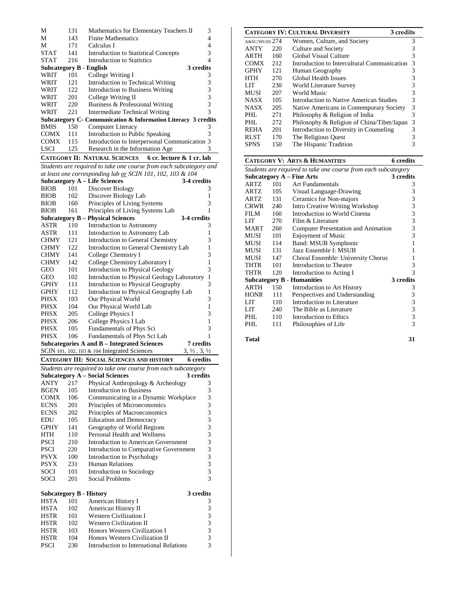| М                       | 131 | Mathematics for Elementary Teachers II                         | 3         |  |  |  |  |
|-------------------------|-----|----------------------------------------------------------------|-----------|--|--|--|--|
| М                       | 143 | Finite Mathematics<br>4                                        |           |  |  |  |  |
| М                       | 171 | Calculus I                                                     | 4         |  |  |  |  |
| <b>STAT</b>             | 141 | Introduction to Statistical Concepts                           | 3         |  |  |  |  |
| <b>STAT</b>             | 216 | Introduction to Statistics                                     | 4         |  |  |  |  |
| Subcategory B - English |     |                                                                | 3 credits |  |  |  |  |
| WRIT                    | 101 | College Writing I                                              | 3         |  |  |  |  |
| WRIT                    | 121 | Introduction to Technical Writing                              | 3         |  |  |  |  |
| WRIT                    | 122 | Introduction to Business Writing                               |           |  |  |  |  |
| WRIT                    | 201 | College Writing II                                             |           |  |  |  |  |
| WRIT                    | 220 | Business & Professional Writing                                |           |  |  |  |  |
| WRIT                    | 221 | 3<br>Intermediate Technical Writing                            |           |  |  |  |  |
|                         |     | Subcategory C - Communication & Information Literacy 3 credits |           |  |  |  |  |
| BMIS                    | 150 | Computer Literacy                                              |           |  |  |  |  |
| <b>COMX</b>             | 111 | Introduction to Public Speaking                                | 3         |  |  |  |  |
| <b>COMX</b>             | 115 | Introduction to Interpersonal Communication 3                  |           |  |  |  |  |
| <b>LSCI</b>             | 125 | Research in the Information Age<br>3                           |           |  |  |  |  |
|                         |     | CATECORV II• NATURAL SCIENCES<br>$6$ er lecture $8\,1$ er lab  |           |  |  |  |  |

## **CATEGORY II: NATURAL SCIENCES 6 cr. lecture & 1 cr. lab**

*Students are required to take one course from each subcategory and at least one corresponding lab or SCIN 101, 102, 103 & 104*

|                                                                                  |            | at least one corresponding tab <u>of</u> SCIN 101, 102, 103 & 104 |                  |  |  |
|----------------------------------------------------------------------------------|------------|-------------------------------------------------------------------|------------------|--|--|
|                                                                                  |            | <b>Subcategory A - Life Sciences</b>                              | 3-4 credits      |  |  |
| BIOB                                                                             | 101        | Discover Biology                                                  | 3                |  |  |
| <b>BIOB</b>                                                                      | 102        | Discover Biology Lab                                              | 1                |  |  |
| <b>BIOB</b>                                                                      | 160        | Principles of Living Systems                                      | 3                |  |  |
| <b>BIOB</b>                                                                      | 161        | Principles of Living Systems Lab                                  | 1                |  |  |
|                                                                                  |            | <b>Subcategory B - Physical Sciences</b>                          | 3-4 credits      |  |  |
| ASTR                                                                             | 110        | Introduction to Astronomy                                         | 3                |  |  |
| ASTR                                                                             | 111        | Introduction to Astronomy Lab                                     | 1                |  |  |
| CHMY                                                                             | 121        | Introduction to General Chemistry                                 | 3                |  |  |
| CHMY                                                                             | 122        | Introduction to General Chemistry Lab                             | 1                |  |  |
| CHMY                                                                             | 141        | College Chemistry I                                               | 3                |  |  |
| CHMY                                                                             | 142        | College Chemistry Laboratory I                                    | $\mathbf{1}$     |  |  |
| GEO                                                                              | 101        | Introduction to Physical Geology                                  | 3                |  |  |
| GEO                                                                              | 102        | Introduction to Physical Geology Laboratory                       | 1                |  |  |
| GPHY                                                                             | 111        | Introduction to Physical Geography                                | 3                |  |  |
| <b>GPHY</b>                                                                      | 112        | Introduction to Physical Geography Lab                            | 1                |  |  |
| PHSX                                                                             | 103        | Our Physical World                                                | 3                |  |  |
| PHSX                                                                             | 104        | Our Physical World Lab                                            | 1                |  |  |
| <b>PHSX</b>                                                                      | 205        | College Physics I                                                 | 3                |  |  |
| PHSX                                                                             | 206        | College Physics I Lab                                             | 1                |  |  |
| PHSX                                                                             | 105        | Fundamentals of Phys Sci                                          | 3                |  |  |
| PHSX                                                                             | 106        | Fundamentals of Phys Sci Lab                                      | 1                |  |  |
|                                                                                  |            | <b>Subcategories A and B - Integrated Sciences</b>                | <b>7</b> credits |  |  |
| SCIN 101, 102, 103 & 104 Integrated Sciences<br>$3, \frac{1}{2}, 3, \frac{1}{2}$ |            |                                                                   |                  |  |  |
|                                                                                  |            |                                                                   |                  |  |  |
|                                                                                  |            | CATEGORY III: SOCIAL SCIENCES AND HISTORY                         | <b>6</b> credits |  |  |
|                                                                                  |            | Students are required to take one course from each subcategory    |                  |  |  |
|                                                                                  |            | <b>Subcategory A - Social Sciences</b>                            | 3 credits        |  |  |
| ANTY                                                                             | 217        | Physical Anthropology & Archeology                                | 3                |  |  |
| BGEN                                                                             | 105        | <b>Introduction to Business</b>                                   | 3                |  |  |
| COMX                                                                             | 106        | Communicating in a Dynamic Workplace                              | 3                |  |  |
| ECNS                                                                             | 201        | Principles of Microeconomics                                      | 3                |  |  |
| <b>ECNS</b>                                                                      | 202        | Principles of Macroeconomics                                      | 3                |  |  |
| EDU                                                                              | 105        | <b>Education and Democracy</b>                                    | 3                |  |  |
| GPHY                                                                             | 141        | Geography of World Regions                                        | 3                |  |  |
| <b>HTH</b>                                                                       | 110        | Personal Health and Wellness                                      | 3                |  |  |
| <b>PSCI</b>                                                                      | 210        | <b>Introduction to American Government</b>                        | 3                |  |  |
| <b>PSCI</b>                                                                      | 220        | Introduction to Comparative Government                            | 3                |  |  |
| PSYX                                                                             | 100        | Introduction to Psychology                                        | 3                |  |  |
| <b>PSYX</b>                                                                      | 231        | Human Relations                                                   | 3                |  |  |
| SOCI                                                                             | 101        | Introduction to Sociology                                         | 3                |  |  |
| SOCI                                                                             | 201        | Social Problems                                                   | 3                |  |  |
|                                                                                  |            |                                                                   |                  |  |  |
| Subcategory B - History                                                          |            |                                                                   | 3 credits        |  |  |
| HSTA                                                                             | 101        | American History I                                                | 3                |  |  |
| HSTA                                                                             | 102        | American History II                                               | 3                |  |  |
| HSTR<br>HSTR                                                                     | 101<br>102 | <b>Western Civilization I</b><br><b>Western Civilization II</b>   | 3<br>3           |  |  |

HSTR 102 Western Civilization II 3<br>HSTR 103 Honors Western Civilization I 3 HSTR 103 Honors Western Civilization I<br>HSTR 104 Honors Western Civilization II 3 HSTR 104 Honors Western Civilization II 3<br>PSCI 230 Introduction to International Relations 3 Introduction to International Relations

| <b>CATEGORY IV: CULTURAL DIVERSITY</b><br>3 credits |     |                                             |   |  |  |
|-----------------------------------------------------|-----|---------------------------------------------|---|--|--|
| A&SC/WGSS 274                                       |     | Women, Culture, and Society                 | 3 |  |  |
| <b>ANTY</b>                                         | 220 | Culture and Society                         | 3 |  |  |
| <b>ARTH</b>                                         | 160 | Global Visual Culture                       | 3 |  |  |
| <b>COMX</b>                                         | 212 | Introduction to Intercultural Communication | 3 |  |  |
| <b>GPHY</b>                                         | 121 | Human Geography                             | 3 |  |  |
| HTH                                                 | 270 | Global Health Issues                        | 3 |  |  |
| LIT                                                 | 230 | World Literature Survey                     | 3 |  |  |
| MUSI                                                | 207 | World Music                                 | 3 |  |  |
| <b>NASX</b>                                         | 105 | Introduction to Native American Studies     | 3 |  |  |
| <b>NASX</b>                                         | 205 | Native Americans in Contemporary Society    | 3 |  |  |
| PHI.                                                | 271 | Philosophy & Religion of India              | 3 |  |  |
| PHI.                                                | 272 | Philosophy & Religion of China/Tibet/Japan  | 3 |  |  |
| <b>REHA</b>                                         | 201 | Introduction to Diversity in Counseling     | 3 |  |  |
| <b>RLST</b>                                         | 170 | The Religious Quest                         | 3 |  |  |
| SPNS                                                | 150 | The Hispanic Tradition                      | 3 |  |  |

|                                                                |     | <b>CATEGORY V: ARTS &amp; HUMANITIES</b> | 6 credits |  |  |
|----------------------------------------------------------------|-----|------------------------------------------|-----------|--|--|
| Students are required to take one course from each subcategory |     |                                          |           |  |  |
| <b>Subcategory A - Fine Arts</b><br>3 credits                  |     |                                          |           |  |  |
| <b>ARTZ</b>                                                    | 101 | Art Fundamentals                         | 3         |  |  |
| ARTZ                                                           | 105 | Visual Language-Drawing                  | 3         |  |  |
| ARTZ                                                           | 131 | Ceramics for Non-majors                  | 3         |  |  |
| CRWR                                                           | 240 | <b>Intro Creative Writing Workshop</b>   | 3         |  |  |
| FILM                                                           | 160 | Introduction to World Cinema             | 3         |  |  |
| LIT                                                            | 270 | Film & Literature                        | 3         |  |  |
| <b>MART</b>                                                    | 260 | Computer Presentation and Animation      | 3         |  |  |
| MUSI                                                           | 101 | <b>Enjoyment of Music</b>                | 3         |  |  |
| MUSI                                                           | 114 | Band: MSUB Symphonic                     | 1         |  |  |
| MUSI                                                           | 131 | Jazz Ensemble I: MSUB                    | 1         |  |  |
| MUSI                                                           | 147 | Choral Ensemble: University Chorus       | 1         |  |  |
| THTR                                                           | 101 | Introduction to Theatre                  | 3         |  |  |
| THTR                                                           | 120 | Introduction to Acting I                 | 3         |  |  |
|                                                                |     | <b>Subcategory B - Humanities</b>        | 3 credits |  |  |
| ARTH                                                           | 150 | Introduction to Art History              | 3         |  |  |
| <b>HONR</b>                                                    | 111 | Perspectives and Understanding           | 3         |  |  |
| LIT                                                            | 110 | Introduction to Literature               | 3         |  |  |
| LIT                                                            | 240 | The Bible as Literature                  | 3         |  |  |
| PHL.                                                           | 110 | Introduction to Ethics                   | 3         |  |  |
| PHL                                                            | 111 | Philosophies of Life                     | 3         |  |  |
|                                                                |     |                                          |           |  |  |

| Total | 31 |
|-------|----|
|       |    |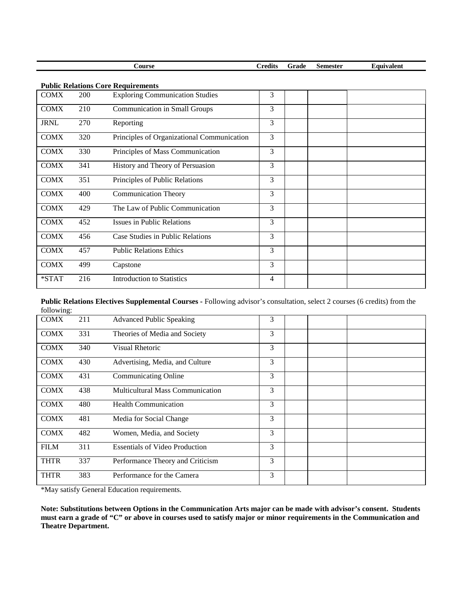|                                           |     | Course                                     | <b>Credits</b> | Grade | <b>Semester</b> | Equivalent |  |
|-------------------------------------------|-----|--------------------------------------------|----------------|-------|-----------------|------------|--|
| <b>Public Relations Core Requirements</b> |     |                                            |                |       |                 |            |  |
| <b>COMX</b>                               | 200 | <b>Exploring Communication Studies</b>     | 3              |       |                 |            |  |
| <b>COMX</b>                               | 210 | <b>Communication in Small Groups</b>       | 3              |       |                 |            |  |
| <b>JRNL</b>                               | 270 | Reporting                                  | 3              |       |                 |            |  |
| <b>COMX</b>                               | 320 | Principles of Organizational Communication | 3              |       |                 |            |  |
| <b>COMX</b>                               | 330 | Principles of Mass Communication           | 3              |       |                 |            |  |
| <b>COMX</b>                               | 341 | History and Theory of Persuasion           | 3              |       |                 |            |  |
| <b>COMX</b>                               | 351 | Principles of Public Relations             | 3              |       |                 |            |  |
| <b>COMX</b>                               | 400 | <b>Communication Theory</b>                | 3              |       |                 |            |  |
| <b>COMX</b>                               | 429 | The Law of Public Communication            | 3              |       |                 |            |  |
| <b>COMX</b>                               | 452 | <b>Issues in Public Relations</b>          | 3              |       |                 |            |  |
| <b>COMX</b>                               | 456 | Case Studies in Public Relations           | 3              |       |                 |            |  |
| <b>COMX</b>                               | 457 | <b>Public Relations Ethics</b>             | 3              |       |                 |            |  |
| <b>COMX</b>                               | 499 | Capstone                                   | 3              |       |                 |            |  |
| *STAT                                     | 216 | <b>Introduction to Statistics</b>          | 4              |       |                 |            |  |

**Public Relations Electives Supplemental Courses -** Following advisor's consultation, select 2 courses (6 credits) from the following:

| 1011011117  |     |                                         |   |  |
|-------------|-----|-----------------------------------------|---|--|
| <b>COMX</b> | 211 | <b>Advanced Public Speaking</b>         | 3 |  |
| <b>COMX</b> | 331 | Theories of Media and Society           | 3 |  |
| <b>COMX</b> | 340 | Visual Rhetoric                         | 3 |  |
| <b>COMX</b> | 430 | Advertising, Media, and Culture         | 3 |  |
| <b>COMX</b> | 431 | <b>Communicating Online</b>             | 3 |  |
| <b>COMX</b> | 438 | <b>Multicultural Mass Communication</b> | 3 |  |
| <b>COMX</b> | 480 | <b>Health Communication</b>             | 3 |  |
| <b>COMX</b> | 481 | Media for Social Change                 | 3 |  |
| <b>COMX</b> | 482 | Women, Media, and Society               | 3 |  |
| <b>FILM</b> | 311 | <b>Essentials of Video Production</b>   | 3 |  |
| <b>THTR</b> | 337 | Performance Theory and Criticism        | 3 |  |
| <b>THTR</b> | 383 | Performance for the Camera              | 3 |  |
|             |     |                                         |   |  |

\*May satisfy General Education requirements.

**Note: Substitutions between Options in the Communication Arts major can be made with advisor's consent. Students must earn a grade of "C" or above in courses used to satisfy major or minor requirements in the Communication and Theatre Department.**